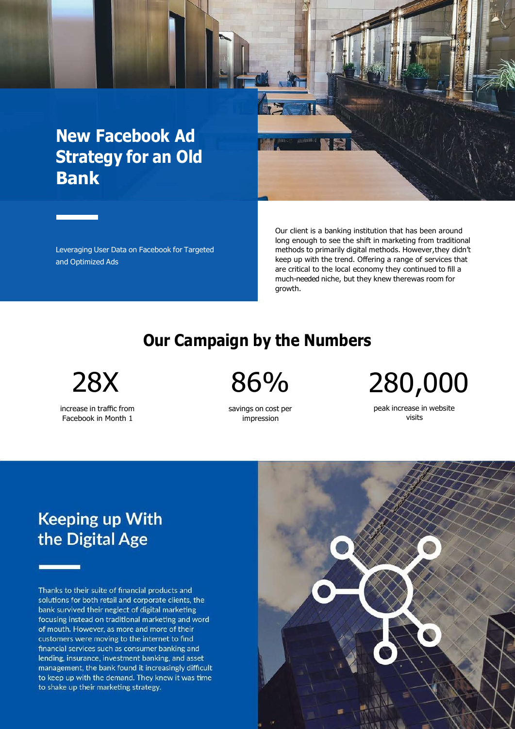# **New Facebook Ad Strategy for an Old Bank**

Leveraging User Data on Facebook for Targeted and Optimized Ads

Our client is a banking institution that has been around long enough to see the shift in marketing from traditional methods to primarily digital methods. However,they didn't keep up with the trend. Offering a range of services that are critical to the local economy they continued to fill a much-needed niche, but they knew therewas room for growth.

### **Our Campaign by the Numbers**

increase in traffic from Facebook in Month 1

savings on cost per impression

28X 86% 280,000

peak increase in website visits

# **Keeping up With** the Digital Age

Thanks to their suite of financial products and solutions for both retail and corporate clients, the bank survived their neglect of digital marketing focusing instead on traditional marketing and word of mouth. However, as more and more of their customers were moving to the internet to find financial services such as consumer banking and lending, insurance, investment banking, and asset management, the bank found it increasingly difficult to keep up with the demand. They knew it was time to shake up their marketing strategy.

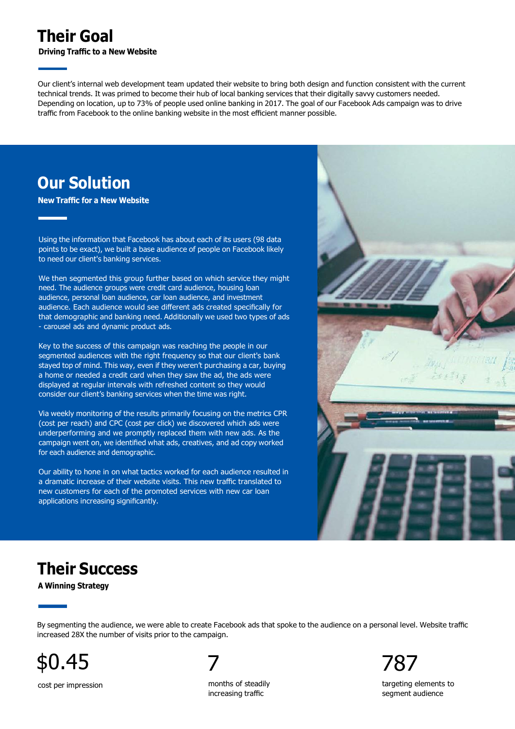### **Their Goal**

**Driving Traffic to a New Website**

Our client's internal web development team updated their website to bring both design and function consistent with the current technical trends. It was primed to become their hub of local banking services that their digitally savvy customers needed. Depending on location, up to 73% of people used online banking in 2017. The goal of our Facebook Ads campaign was to drive traffic from Facebook to the online banking website in the most efficient manner possible.

### **Our Solution**

**New Traffic for a New Website**

Using the information that Facebook has about each of its users (98 data points to be exact), we built a base audience of people on Facebook likely to need our client's banking services.

We then segmented this group further based on which service they might need. The audience groups were credit card audience, housing loan audience, personal loan audience, car loan audience, and investment audience. Each audience would see different ads created specifically for that demographic and banking need. Additionally we used two types of ads - carousel ads and dynamic product ads.

Key to the success of this campaign was reaching the people in our segmented audiences with the right frequency so that our client's bank stayed top of mind. This way, even if they weren't purchasing a car, buying a home or needed a credit card when they saw the ad, the ads were displayed at regular intervals with refreshed content so they would consider our client's banking services when the time was right.

Via weekly monitoring of the results primarily focusing on the metrics CPR (cost per reach) and CPC (cost per click) we discovered which ads were underperforming and we promptly replaced them with new ads. As the campaign went on, we identified what ads, creatives, and ad copy worked for each audience and demographic.

Our ability to hone in on what tactics worked for each audience resulted in a dramatic increase of their website visits. This new traffic translated to new customers for each of the promoted services with new car loan applications increasing significantly.



#### **Their Success**

**A Winning Strategy**

By segmenting the audience, we were able to create Facebook ads that spoke to the audience on a personal level. Website traffic increased 28X the number of visits prior to the campaign.



cost per impression months of steadily

increasing traffic

targeting elements to segment audience